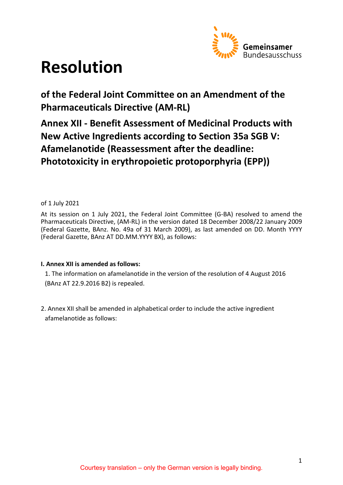

# **Resolution**

**of the Federal Joint Committee on an Amendment of the Pharmaceuticals Directive (AM-RL)** 

**Annex XII - Benefit Assessment of Medicinal Products with New Active Ingredients according to Section 35a SGB V: Afamelanotide (Reassessment after the deadline: Phototoxicity in erythropoietic protoporphyria (EPP))**

# of 1 July 2021

At its session on 1 July 2021, the Federal Joint Committee (G-BA) resolved to amend the Pharmaceuticals Directive, (AM-RL) in the version dated 18 December 2008/22 January 2009 (Federal Gazette, BAnz. No. 49a of 31 March 2009), as last amended on DD. Month YYYY (Federal Gazette, BAnz AT DD.MM.YYYY BX), as follows:

# **I. Annex XII is amended as follows:**

1. The information on afamelanotide in the version of the resolution of 4 August 2016 (BAnz AT 22.9.2016 B2) is repealed.

2. Annex XII shall be amended in alphabetical order to include the active ingredient afamelanotide as follows: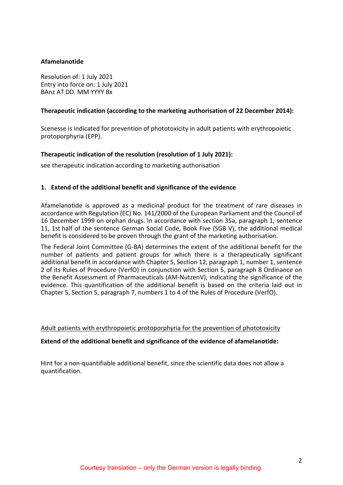## **Afamelanotide**

Resolution of: 1 July 2021 Entry into force on: 1 July 2021 BAnz AT DD. MM YYYY Bx

## **Therapeutic indication (according to the marketing authorisation of 22 December 2014):**

Scenesse is indicated for prevention of phototoxicity in adult patients with erythropoietic protoporphyria (EPP).

## **Therapeutic indication of the resolution (resolution of 1 July 2021):**

see therapeutic indication according to marketing authorisation

## **1. Extend of the additional benefit and significance of the evidence**

Afamelanotide is approved as a medicinal product for the treatment of rare diseases in accordance with Regulation (EC) No. 141/2000 of the European Parliament and the Council of 16 December 1999 on orphan drugs. In accordance with section 35a, paragraph 1, sentence 11, 1st half of the sentence German Social Code, Book Five (SGB V), the additional medical benefit is considered to be proven through the grant of the marketing authorisation.

The Federal Joint Committee (G-BA) determines the extent of the additional benefit for the number of patients and patient groups for which there is a therapeutically significant additional benefit in accordance with Chapter 5, Section 12, paragraph 1, number 1, sentence 2 of its Rules of Procedure (VerfO) in conjunction with Section 5, paragraph 8 Ordinance on the Benefit Assessment of Pharmaceuticals (AM-NutzenV), indicating the significance of the evidence. This quantification of the additional benefit is based on the criteria laid out in Chapter 5, Section 5, paragraph 7, numbers 1 to 4 of the Rules of Procedure (VerfO).

Adult patients with erythropoietic protoporphyria for the prevention of phototoxicity

## **Extend of the additional benefit and significance of the evidence of afamelanotide:**

Hint for a non-quantifiable additional benefit, since the scientific data does not allow a quantification.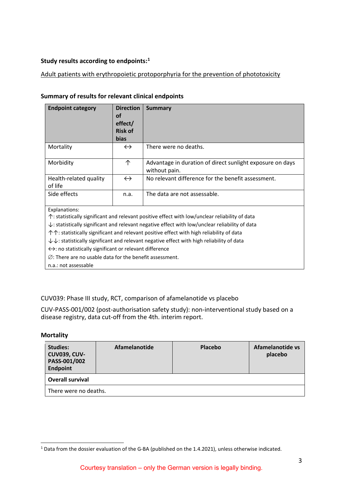# **Study results according to endpoints:[1](#page-2-0)**

# Adult patients with erythropoietic protoporphyria for the prevention of phototoxicity

## **Summary of results for relevant clinical endpoints**

| <b>Endpoint category</b>                                                                                       | <b>Direction</b><br>οf<br>effect/<br><b>Risk of</b> | <b>Summary</b>                                                                                           |  |  |
|----------------------------------------------------------------------------------------------------------------|-----------------------------------------------------|----------------------------------------------------------------------------------------------------------|--|--|
|                                                                                                                | bias                                                |                                                                                                          |  |  |
| Mortality                                                                                                      | $\leftrightarrow$                                   | There were no deaths.                                                                                    |  |  |
| Morbidity                                                                                                      | 个                                                   | Advantage in duration of direct sunlight exposure on days<br>without pain.                               |  |  |
| Health-related quality<br>of life                                                                              | $\leftrightarrow$                                   | No relevant difference for the benefit assessment.                                                       |  |  |
| Side effects                                                                                                   | n.a.                                                | The data are not assessable.                                                                             |  |  |
| Explanations:                                                                                                  |                                                     |                                                                                                          |  |  |
|                                                                                                                |                                                     | $\uparrow$ : statistically significant and relevant positive effect with low/unclear reliability of data |  |  |
| $\downarrow$ : statistically significant and relevant negative effect with low/unclear reliability of data     |                                                     |                                                                                                          |  |  |
| $\uparrow \uparrow$ : statistically significant and relevant positive effect with high reliability of data     |                                                     |                                                                                                          |  |  |
| $\downarrow \downarrow$ : statistically significant and relevant negative effect with high reliability of data |                                                     |                                                                                                          |  |  |
| $\leftrightarrow$ : no statistically significant or relevant difference                                        |                                                     |                                                                                                          |  |  |
| $\varnothing$ : There are no usable data for the benefit assessment.                                           |                                                     |                                                                                                          |  |  |
| n.a.: not assessable                                                                                           |                                                     |                                                                                                          |  |  |

# CUV039: Phase III study, RCT, comparison of afamelanotide vs placebo

CUV-PASS-001/002 (post-authorisation safety study): non-interventional study based on a disease registry, data cut-off from the 4th. interim report.

#### **Mortality**

| Studies:<br><b>CUV039, CUV-</b><br>PASS-001/002<br><b>Endpoint</b> | Afamelanotide | <b>Placebo</b> | Afamelanotide vs<br>placebo |
|--------------------------------------------------------------------|---------------|----------------|-----------------------------|
| <b>Overall survival</b>                                            |               |                |                             |
| There were no deaths.                                              |               |                |                             |

<span id="page-2-0"></span> <sup>1</sup> Data from the dossier evaluation of the G-BA (published on the 1.4.2021), unless otherwise indicated.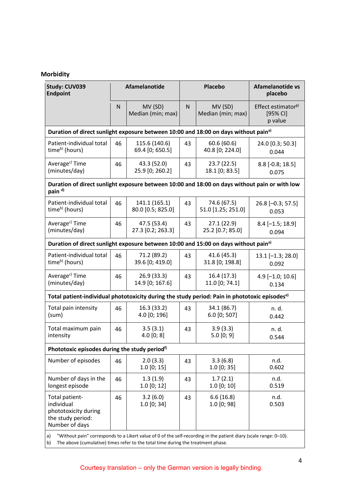# **Morbidity**

| Study: CUV039<br><b>Endpoint</b>                                                                                                                                                                                  |    | Afamelanotide                      | <b>Placebo</b> |                                   | <b>Afamelanotide vs</b><br>placebo                               |
|-------------------------------------------------------------------------------------------------------------------------------------------------------------------------------------------------------------------|----|------------------------------------|----------------|-----------------------------------|------------------------------------------------------------------|
|                                                                                                                                                                                                                   | N  | MV (SD)<br>Median (min; max)       | $\mathsf{N}$   | MV (SD)<br>Median (min; max)      | Effect estimator <sup>g)</sup><br>[95% <sub>C</sub> ]<br>p value |
| Duration of direct sunlight exposure between 10:00 and 18:00 on days without pain <sup>a)</sup>                                                                                                                   |    |                                    |                |                                   |                                                                  |
| Patient-individual total<br>time <sup>b)</sup> (hours)                                                                                                                                                            | 46 | 115.6 (140.6)<br>69.4 [0; 650.5]   | 43             | 60.6(60.6)<br>40.8 [0; 224.0]     | 24.0 [0.3; 50.3]<br>0.044                                        |
| Average <sup>c)</sup> Time<br>(minutes/day)                                                                                                                                                                       | 46 | 43.3 (52.0)<br>25.9 [0; 260.2]     | 43             | 23.7(22.5)<br>18.1 [0; 83.5]      | $8.8$ [-0.8; 18.5]<br>0.075                                      |
| Duration of direct sunlight exposure between 10:00 and 18:00 on days without pain or with low<br>pain <sup>d)</sup>                                                                                               |    |                                    |                |                                   |                                                                  |
| Patient-individual total<br>time <sup>b)</sup> (hours)                                                                                                                                                            | 46 | 141.1 (165.1)<br>80.0 [0.5; 825.0] | 43             | 74.6 (67.5)<br>51.0 [1.25; 251.0] | 26.8 [-0.3; 57.5]<br>0.053                                       |
| Average <sup>c)</sup> Time<br>(minutes/day)                                                                                                                                                                       | 46 | 47.5 (53.4)<br>27.3 [0.2; 263.3]   | 43             | 27.1 (22.9)<br>25.2 [0.7; 85.0]   | $8.4[-1.5; 18.9]$<br>0.094                                       |
| Duration of direct sunlight exposure between 10:00 and 15:00 on days without pain <sup>a)</sup>                                                                                                                   |    |                                    |                |                                   |                                                                  |
| Patient-individual total<br>time <sup>b)</sup> (hours)                                                                                                                                                            | 46 | 71.2 (89.2)<br>39.6 [0; 419.0]     | 43             | 41.6 (45.3)<br>31.8 [0; 198.8]    | $13.1[-1.3; 28.0]$<br>0.092                                      |
| Average <sup>c)</sup> Time<br>(minutes/day)                                                                                                                                                                       | 46 | 26.9 (33.3)<br>14.9 [0; 167.6]     | 43             | 16.4 (17.3)<br>11.0 [0; 74.1]     | $4.9$ [-1.0; 10.6]<br>0.134                                      |
| Total patient-individual phototoxicity during the study period: Pain in phototoxic episodes <sup>e)</sup>                                                                                                         |    |                                    |                |                                   |                                                                  |
| Total pain intensity<br>(sum)                                                                                                                                                                                     | 46 | 16.3 (33.2)<br>4.0 [0; 196]        | 43             | 34.1 (86.7)<br>6.0 [0; 507]       | n. d.<br>0.442                                                   |
| Total maximum pain<br>intensity                                                                                                                                                                                   | 46 | 3.5(3.1)<br>4.0 [0; 8]             | 43             | 3.9(3.3)<br>5.0 [0; 9]            | n. d.<br>0.544                                                   |
| Phototoxic episodes during the study period <sup>f)</sup>                                                                                                                                                         |    |                                    |                |                                   |                                                                  |
| Number of episodes                                                                                                                                                                                                | 46 | 2.0(3.3)<br>$1.0$ [0; 15]          | 43             | 3.3(6.8)<br>$1.0$ [0; 35]         | n.d.<br>0.602                                                    |
| Number of days in the<br>longest episode                                                                                                                                                                          | 46 | 1.3(1.9)<br>$1.0$ [0; 12]          | 43             | 1.7(2.1)<br>$1.0$ [0; 10]         | n.d.<br>0.519                                                    |
| Total patient-<br>individual<br>phototoxicity during<br>the study period:<br>Number of days                                                                                                                       | 46 | 3.2(6.0)<br>$1.0$ [0; 34]          | 43             | 6.6(16.8)<br>1.0 [0; 98]          | n.d.<br>0.503                                                    |
| "Without pain" corresponds to a Likert value of 0 of the self-recording in the patient diary (scale range: 0-10).<br>a)<br>The above (cumulative) times refer to the total time during the treatment phase.<br>b) |    |                                    |                |                                   |                                                                  |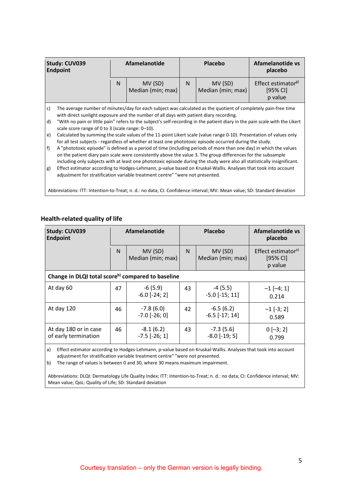|                                                                                                                                                                                                                | Study: CUV039<br><b>Endpoint</b>                                                                                                                                                                                                                                                                                                                                                                                                                                                                                                                                                             | Afamelanotide |                                                                               | Placebo |                              | Afamelanotide vs<br>placebo                           |
|----------------------------------------------------------------------------------------------------------------------------------------------------------------------------------------------------------------|----------------------------------------------------------------------------------------------------------------------------------------------------------------------------------------------------------------------------------------------------------------------------------------------------------------------------------------------------------------------------------------------------------------------------------------------------------------------------------------------------------------------------------------------------------------------------------------------|---------------|-------------------------------------------------------------------------------|---------|------------------------------|-------------------------------------------------------|
|                                                                                                                                                                                                                |                                                                                                                                                                                                                                                                                                                                                                                                                                                                                                                                                                                              | N             | MV (SD)<br>Median (min; max)                                                  | N       | MV (SD)<br>Median (min; max) | Effect estimator <sup>g)</sup><br>[95% CI]<br>p value |
| The average number of minutes/day for each subject was calculated as the quotient of completely pain-free time<br>c)<br>with direct sunlight exposure and the number of all days with patient diary recording. |                                                                                                                                                                                                                                                                                                                                                                                                                                                                                                                                                                                              |               |                                                                               |         |                              |                                                       |
| d)                                                                                                                                                                                                             | "With no pain or little pain" refers to the subject's self-recording in the patient diary in the pain scale with the Likert<br>scale score range of 0 to 3 (scale range: 0–10).                                                                                                                                                                                                                                                                                                                                                                                                              |               |                                                                               |         |                              |                                                       |
| e)                                                                                                                                                                                                             | Calculated by summing the scale values of the 11-point Likert scale (value range 0-10). Presentation of values only                                                                                                                                                                                                                                                                                                                                                                                                                                                                          |               |                                                                               |         |                              |                                                       |
| f)<br>g)                                                                                                                                                                                                       | for all test subjects - regardless of whether at least one phototoxic episode occurred during the study.<br>A "phototoxic episode" is defined as a period of time (including periods of more than one day) in which the values<br>on the patient diary pain scale were consistently above the value 3. The group differences for the subsample<br>including only subjects with at least one phototoxic episode during the study were also all statistically insignificant.<br>Effect estimator according to Hodges-Lehmann, p-value based on Kruskal-Wallis. Analyses that took into account |               |                                                                               |         |                              |                                                       |
|                                                                                                                                                                                                                |                                                                                                                                                                                                                                                                                                                                                                                                                                                                                                                                                                                              |               | adjustment for stratification variable treatment centre" "were not presented. |         |                              |                                                       |

Abbreviations: ITT: Intention-to-Treat; n. d.: no data; CI: Confidence interval; MV: Mean value; SD: Standard deviation

| Study: CUV039<br><b>Endpoint</b>                              | Afamelanotide |                                                                               | Placebo |                                                                                                                | Afamelanotide vs<br>placebo                             |
|---------------------------------------------------------------|---------------|-------------------------------------------------------------------------------|---------|----------------------------------------------------------------------------------------------------------------|---------------------------------------------------------|
|                                                               | $\mathsf{N}$  | MV (SD)<br>Median (min; max)                                                  | N       | MV (SD)<br>Median (min; max)                                                                                   | Effect estimator <sup>a)</sup><br>$[95%$ CI]<br>p value |
| Change in DLQI total score <sup>b)</sup> compared to baseline |               |                                                                               |         |                                                                                                                |                                                         |
| At day 60                                                     | 47            | $-6(5.9)$<br>$-6.0$ [ $-24; 2$ ]                                              | 43      | $-4(5.5)$<br>$-5.0$ $[-15; 11]$                                                                                | $-1$ [-4; 1]<br>0.214                                   |
| At day 120                                                    | 46            | $-7.8(6.0)$<br>$-7.0$ [ $-26; 0$ ]                                            | 42      | $-6.5(6.2)$<br>$-6.5$ $[-17; 14]$                                                                              | $-1$ [-3; 2]<br>0.589                                   |
| At day 180 or in case<br>of early termination                 | 46            | $-8.1(6.2)$<br>$-7.5$ $[-26; 1]$                                              | 43      | $-7.3(5.6)$<br>$-8.0$ $[-19; 5]$                                                                               | $0[-3; 2]$<br>0.799                                     |
| a)                                                            |               | adjustment for stratification variable treatment centre" "were not presented. |         | Effect estimator according to Hodges-Lehmann, p-value based on Kruskal-Wallis. Analyses that took into account |                                                         |

# **Health-related quality of life**

b) The range of values is between 0 and 30, where 30 means maximum impairment.

Abbreviations: DLQI: Dermatology Life Quality Index; ITT: Intention-to-Treat; n. d.: no data; CI: Confidence interval; MV: Mean value; QoL: Quality of Life; SD: Standard deviation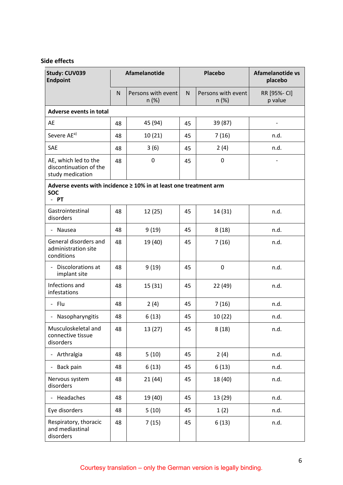# **Side effects**

| Study: CUV039<br><b>Endpoint</b>                                                        |    | Afamelanotide<br><b>Placebo</b> |    | Afamelanotide vs<br>placebo |                         |
|-----------------------------------------------------------------------------------------|----|---------------------------------|----|-----------------------------|-------------------------|
|                                                                                         | N  | Persons with event<br>n(%)      | N  | Persons with event<br>n(%)  | RR [95%- CI]<br>p value |
| Adverse events in total                                                                 |    |                                 |    |                             |                         |
| AE                                                                                      | 48 | 45 (94)                         | 45 | 39 (87)                     |                         |
| Severe AE <sup>a)</sup>                                                                 | 48 | 10(21)                          | 45 | 7(16)                       | n.d.                    |
| SAE                                                                                     | 48 | 3(6)                            | 45 | 2(4)                        | n.d.                    |
| AE, which led to the<br>discontinuation of the<br>study medication                      | 48 | $\mathbf 0$                     | 45 | 0                           |                         |
| Adverse events with incidence ≥ 10% in at least one treatment arm<br><b>SOC</b><br>- PT |    |                                 |    |                             |                         |
| Gastrointestinal<br>disorders                                                           | 48 | 12(25)                          | 45 | 14 (31)                     | n.d.                    |
| - Nausea                                                                                | 48 | 9(19)                           | 45 | 8(18)                       | n.d.                    |
| General disorders and<br>administration site<br>conditions                              | 48 | 19 (40)                         | 45 | 7(16)                       | n.d.                    |
| - Discolorations at<br>implant site                                                     | 48 | 9(19)                           | 45 | 0                           | n.d.                    |
| Infections and<br>infestations                                                          | 48 | 15 (31)                         | 45 | 22 (49)                     | n.d.                    |
| - Flu                                                                                   | 48 | 2(4)                            | 45 | 7(16)                       | n.d.                    |
| Nasopharyngitis                                                                         | 48 | 6(13)                           | 45 | 10(22)                      | n.d.                    |
| Musculoskeletal and<br>connective tissue<br>disorders                                   | 48 | 13 (27)                         | 45 | 8(18)                       | n.d.                    |
| - Arthralgia                                                                            | 48 | 5(10)                           | 45 | 2(4)                        | n.d.                    |
| - Back pain                                                                             | 48 | 6(13)                           | 45 | 6(13)                       | n.d.                    |
| Nervous system<br>disorders                                                             | 48 | 21(44)                          | 45 | 18 (40)                     | n.d.                    |
| - Headaches                                                                             | 48 | 19 (40)                         | 45 | 13 (29)                     | n.d.                    |
| Eye disorders                                                                           | 48 | 5(10)                           | 45 | 1(2)                        | n.d.                    |
| Respiratory, thoracic<br>and mediastinal<br>disorders                                   | 48 | 7(15)                           | 45 | 6(13)                       | n.d.                    |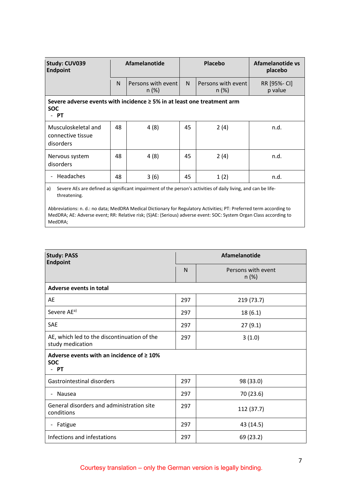| <b>Study: CUV039</b><br><b>Endpoint</b>                                                                                      | <b>Afamelanotide</b> |                                | <b>Placebo</b> |                                | Afamelanotide vs<br>placebo |
|------------------------------------------------------------------------------------------------------------------------------|----------------------|--------------------------------|----------------|--------------------------------|-----------------------------|
|                                                                                                                              | N                    | Persons with event<br>$n (\%)$ | $\mathsf{N}$   | Persons with event<br>$n (\%)$ | RR [95%- CI]<br>p value     |
| Severe adverse events with incidence $\geq$ 5% in at least one treatment arm<br><b>SOC</b><br>PT<br>$\overline{\phantom{0}}$ |                      |                                |                |                                |                             |
| Musculoskeletal and<br>connective tissue<br>disorders                                                                        | 48                   | 4(8)                           | 45             | 2(4)                           | n.d.                        |
| Nervous system<br>disorders                                                                                                  | 48                   | 4(8)                           | 45             | 2(4)                           | n.d.                        |
| Headaches                                                                                                                    | 48                   | 3(6)                           | 45             | 1(2)                           | n.d.                        |
|                                                                                                                              |                      |                                |                |                                |                             |

a) Severe AEs are defined as significant impairment of the person's activities of daily living, and can be lifethreatening.

Abbreviations: n. d.: no data; MedDRA Medical Dictionary for Regulatory Activities; PT: Preferred term according to MedDRA; AE: Adverse event; RR: Relative risk; (S)AE: (Serious) adverse event: SOC: System Organ Class according to MedDRA;

| <b>Study: PASS</b><br><b>Endpoint</b>                                 |     | Afamelanotide                  |  |  |  |
|-----------------------------------------------------------------------|-----|--------------------------------|--|--|--|
|                                                                       | N   | Persons with event<br>$n (\%)$ |  |  |  |
| Adverse events in total                                               |     |                                |  |  |  |
| AE                                                                    | 297 | 219 (73.7)                     |  |  |  |
| Severe AE <sup>a)</sup>                                               | 297 | 18(6.1)                        |  |  |  |
| <b>SAE</b>                                                            | 297 | 27(9.1)                        |  |  |  |
| AE, which led to the discontinuation of the<br>study medication       | 297 | 3(1.0)                         |  |  |  |
| Adverse events with an incidence of $\geq 10\%$<br><b>SOC</b><br>- PT |     |                                |  |  |  |
| Gastrointestinal disorders                                            | 297 | 98 (33.0)                      |  |  |  |
| Nausea<br>$\qquad \qquad \blacksquare$                                | 297 | 70 (23.6)                      |  |  |  |
| General disorders and administration site<br>conditions               | 297 | 112 (37.7)                     |  |  |  |
| Fatigue                                                               | 297 | 43 (14.5)                      |  |  |  |
| Infections and infestations                                           | 297 | 69 (23.2)                      |  |  |  |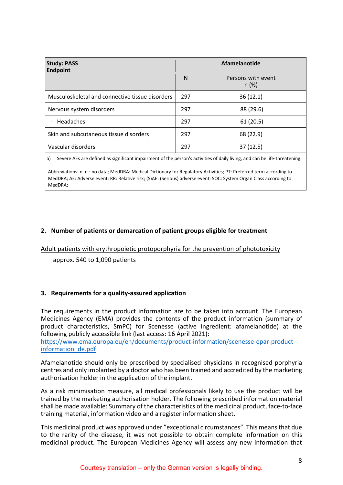| <b>Study: PASS</b><br><b>Endpoint</b>           |     | <b>Afamelanotide</b>           |  |  |
|-------------------------------------------------|-----|--------------------------------|--|--|
|                                                 | N   | Persons with event<br>$n (\%)$ |  |  |
| Musculoskeletal and connective tissue disorders | 297 | 36(12.1)                       |  |  |
| Nervous system disorders                        | 297 | 88 (29.6)                      |  |  |
| - Headaches                                     | 297 | 61(20.5)                       |  |  |
| Skin and subcutaneous tissue disorders          | 297 | 68 (22.9)                      |  |  |
| Vascular disorders                              | 297 | 37(12.5)                       |  |  |

a) Severe AEs are defined as significant impairment of the person's activities of daily living, and can be life-threatening.

Abbreviations: n. d.: no data; MedDRA: Medical Dictionary for Regulatory Activities; PT: Preferred term according to MedDRA; AE: Adverse event; RR: Relative risk; (S)AE: (Serious) adverse event: SOC: System Organ Class according to MedDRA;

# **2. Number of patients or demarcation of patient groups eligible for treatment**

## Adult patients with erythropoietic protoporphyria for the prevention of phototoxicity

approx. 540 to 1,090 patients

## **3. Requirements for a quality-assured application**

The requirements in the product information are to be taken into account. The European Medicines Agency (EMA) provides the contents of the product information (summary of product characteristics, SmPC) for Scenesse (active ingredient: afamelanotide) at the following publicly accessible link (last access: 16 April 2021): [https://www.ema.europa.eu/en/documents/product-information/scenesse-epar-product-](https://www.ema.europa.eu/en/documents/product-information/scenesse-epar-product-information_de.pdf)

[information\\_de.pdf](https://www.ema.europa.eu/en/documents/product-information/scenesse-epar-product-information_de.pdf)

Afamelanotide should only be prescribed by specialised physicians in recognised porphyria centres and only implanted by a doctor who has been trained and accredited by the marketing authorisation holder in the application of the implant.

As a risk minimisation measure, all medical professionals likely to use the product will be trained by the marketing authorisation holder. The following prescribed information material shall be made available: Summary of the characteristics of the medicinal product, face-to-face training material, information video and a register information sheet.

This medicinal product was approved under "exceptional circumstances". This means that due to the rarity of the disease, it was not possible to obtain complete information on this medicinal product. The European Medicines Agency will assess any new information that